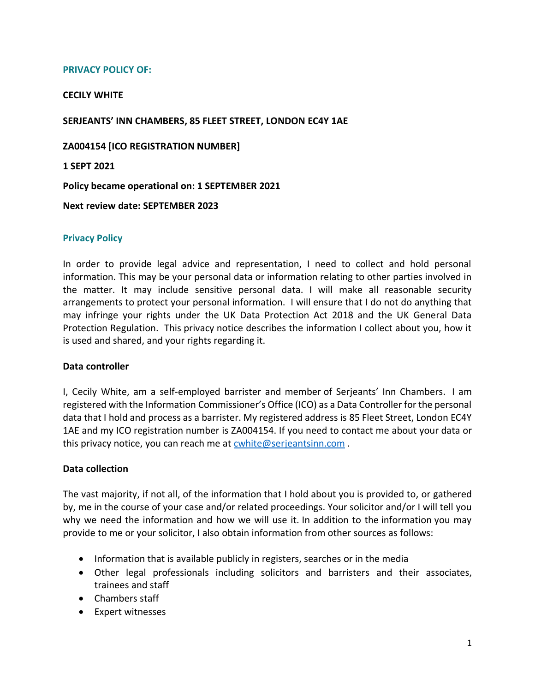## **PRIVACY POLICY OF:**

#### **CECILY WHITE**

#### **SERJEANTS' INN CHAMBERS, 85 FLEET STREET, LONDON EC4Y 1AE**

**ZA004154 [ICO REGISTRATION NUMBER]**

**1 SEPT 2021**

**Policy became operational on: 1 SEPTEMBER 2021**

**Next review date: SEPTEMBER 2023**

#### **Privacy Policy**

In order to provide legal advice and representation, I need to collect and hold personal information. This may be your personal data or information relating to other parties involved in the matter. It may include sensitive personal data. I will make all reasonable security arrangements to protect your personal information. I will ensure that I do not do anything that may infringe your rights under the UK Data Protection Act 2018 and the UK General Data Protection Regulation. This privacy notice describes the information I collect about you, how it is used and shared, and your rights regarding it.

#### **Data controller**

I, Cecily White, am a self-employed barrister and member of Serjeants' Inn Chambers. I am registered with the Information Commissioner's Office (ICO) as a Data Controller for the personal data that I hold and process as a barrister. My registered address is 85 Fleet Street, London EC4Y 1AE and my ICO registration number is ZA004154. If you need to contact me about your data or this privacy notice, you can reach me at [cwhite@serjeantsinn.com](mailto:cwhite@serjeantsinn.com) .

#### **Data collection**

The vast majority, if not all, of the information that I hold about you is provided to, or gathered by, me in the course of your case and/or related proceedings. Your solicitor and/or I will tell you why we need the information and how we will use it. In addition to the information you may provide to me or your solicitor, I also obtain information from other sources as follows:

- Information that is available publicly in registers, searches or in the media
- Other legal professionals including solicitors and barristers and their associates, trainees and staff
- Chambers staff
- Expert witnesses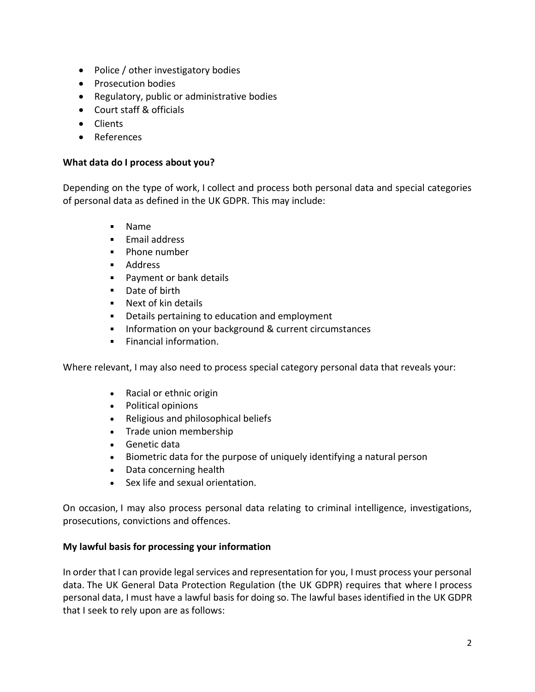- Police / other investigatory bodies
- Prosecution bodies
- Regulatory, public or administrative bodies
- Court staff & officials
- Clients
- References

## **What data do I process about you?**

Depending on the type of work, I collect and process both personal data and special categories of personal data as defined in the UK GDPR. This may include:

- Name
- **Email address**
- **Phone number**
- **Address**
- **Payment or bank details**
- Date of birth
- **Next of kin details**
- **Details pertaining to education and employment**
- **Information on your background & current circumstances**
- **Financial information.**

Where relevant, I may also need to process special category personal data that reveals your:

- Racial or ethnic origin
- Political opinions
- Religious and philosophical beliefs
- Trade union membership
- Genetic data
- Biometric data for the purpose of uniquely identifying a natural person
- Data concerning health
- Sex life and sexual orientation.

On occasion, I may also process personal data relating to criminal intelligence, investigations, prosecutions, convictions and offences.

## **My lawful basis for processing your information**

In order that I can provide legal services and representation for you, I must process your personal data. The UK General Data Protection Regulation (the UK GDPR) requires that where I process personal data, I must have a lawful basis for doing so. The lawful bases identified in the UK GDPR that I seek to rely upon are as follows: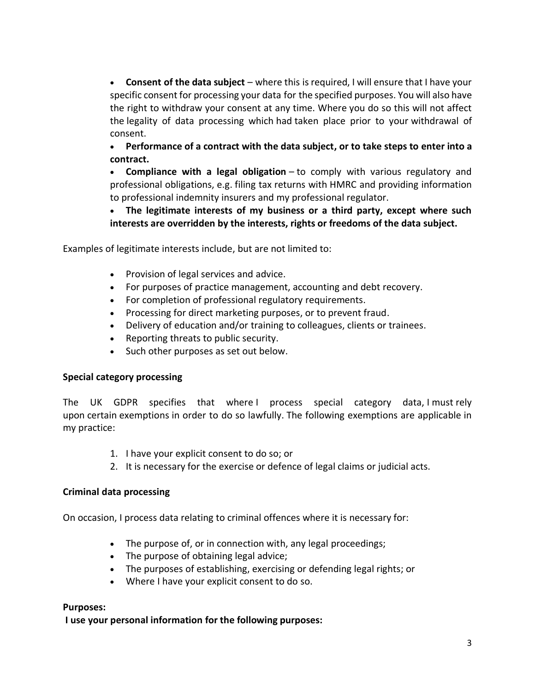• **Consent of the data subject** – where this is required, I will ensure that I have your specific consent for processing your data for the specified purposes. You will also have the right to withdraw your consent at any time. Where you do so this will not affect the legality of data processing which had taken place prior to your withdrawal of consent.

• **Performance of a contract with the data subject, or to take steps to enter into a contract.**

• **Compliance with a legal obligation** – to comply with various regulatory and professional obligations, e.g. filing tax returns with HMRC and providing information to professional indemnity insurers and my professional regulator.

• **The legitimate interests of my business or a third party, except where such interests are overridden by the interests, rights or freedoms of the data subject.**

Examples of legitimate interests include, but are not limited to:

- Provision of legal services and advice.
- For purposes of practice management, accounting and debt recovery.
- For completion of professional regulatory requirements.
- Processing for direct marketing purposes, or to prevent fraud.
- Delivery of education and/or training to colleagues, clients or trainees.
- Reporting threats to public security.
- Such other purposes as set out below.

## **Special category processing**

The UK GDPR specifies that where I process special category data, I must rely upon certain exemptions in order to do so lawfully. The following exemptions are applicable in my practice:

- 1. I have your explicit consent to do so; or
- 2. It is necessary for the exercise or defence of legal claims or judicial acts.

## **Criminal data processing**

On occasion, I process data relating to criminal offences where it is necessary for:

- The purpose of, or in connection with, any legal proceedings;
- The purpose of obtaining legal advice;
- The purposes of establishing, exercising or defending legal rights; or
- Where I have your explicit consent to do so.

## **Purposes:**

**I use your personal information for the following purposes:**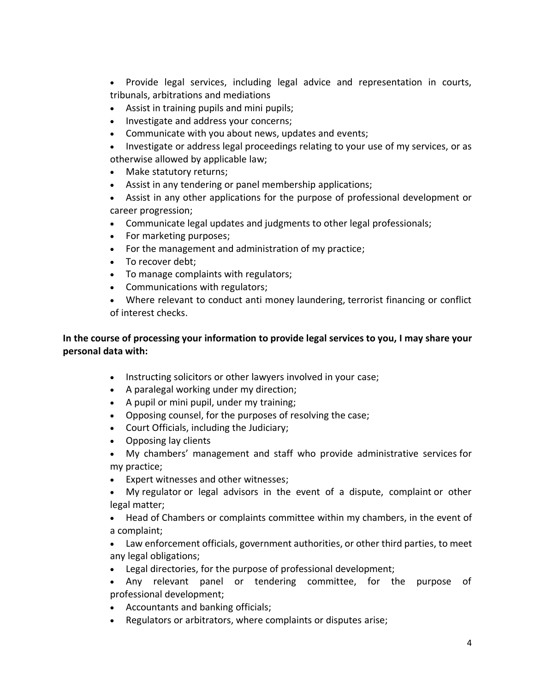• Provide legal services, including legal advice and representation in courts, tribunals, arbitrations and mediations

- Assist in training pupils and mini pupils;
- Investigate and address your concerns;
- Communicate with you about news, updates and events;
- Investigate or address legal proceedings relating to your use of my services, or as otherwise allowed by applicable law;
- Make statutory returns;
- Assist in any tendering or panel membership applications;
- Assist in any other applications for the purpose of professional development or career progression;
- Communicate legal updates and judgments to other legal professionals;
- For marketing purposes;
- For the management and administration of my practice;
- To recover debt;
- To manage complaints with regulators;
- Communications with regulators;
- Where relevant to conduct anti money laundering, terrorist financing or conflict of interest checks.

# **In the course of processing your information to provide legal services to you, I may share your personal data with:**

- Instructing solicitors or other lawyers involved in your case;
- A paralegal working under my direction;
- A pupil or mini pupil, under my training;
- Opposing counsel, for the purposes of resolving the case;
- Court Officials, including the Judiciary;
- Opposing lay clients
- My chambers' management and staff who provide administrative services for my practice;
- Expert witnesses and other witnesses;
- My regulator or legal advisors in the event of a dispute, complaint or other legal matter;
- Head of Chambers or complaints committee within my chambers, in the event of a complaint;
- Law enforcement officials, government authorities, or other third parties, to meet any legal obligations;
- Legal directories, for the purpose of professional development;
- Any relevant panel or tendering committee, for the purpose of professional development;
- Accountants and banking officials;
- Regulators or arbitrators, where complaints or disputes arise;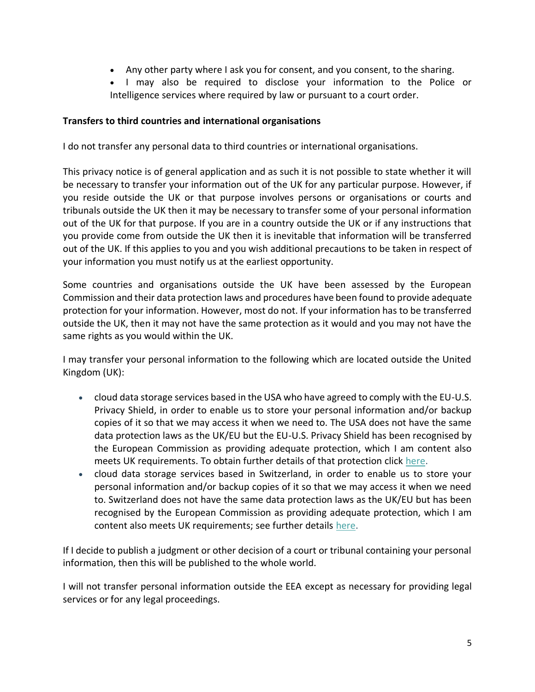- Any other party where I ask you for consent, and you consent, to the sharing.
- I may also be required to disclose your information to the Police or Intelligence services where required by law or pursuant to a court order.

## **Transfers to third countries and international organisations**

I do not transfer any personal data to third countries or international organisations.

This privacy notice is of general application and as such it is not possible to state whether it will be necessary to transfer your information out of the UK for any particular purpose. However, if you reside outside the UK or that purpose involves persons or organisations or courts and tribunals outside the UK then it may be necessary to transfer some of your personal information out of the UK for that purpose. If you are in a country outside the UK or if any instructions that you provide come from outside the UK then it is inevitable that information will be transferred out of the UK. If this applies to you and you wish additional precautions to be taken in respect of your information you must notify us at the earliest opportunity.

Some countries and organisations outside the UK have been assessed by the European Commission and their data protection laws and procedures have been found to provide adequate protection for your information. However, most do not. If your information has to be transferred outside the UK, then it may not have the same protection as it would and you may not have the same rights as you would within the UK.

I may transfer your personal information to the following which are located outside the United Kingdom (UK):

- cloud data storage services based in the USA who have agreed to comply with the EU-U.S. Privacy Shield, in order to enable us to store your personal information and/or backup copies of it so that we may access it when we need to. The USA does not have the same data protection laws as the UK/EU but the EU-U.S. Privacy Shield has been recognised by the European Commission as providing adequate protection, which I am content also meets UK requirements. To obtain further details of that protection click [here.](https://ec.europa.eu/info/law/law-topic/data-protection/data-transfers-outside-eu/eu-us-privacy-shield_en)
- cloud data storage services based in Switzerland, in order to enable us to store your personal information and/or backup copies of it so that we may access it when we need to. Switzerland does not have the same data protection laws as the UK/EU but has been recognised by the European Commission as providing adequate protection, which I am content also meets UK requirements; see further details [here.](https://ec.europa.eu/info/law/law-topic/data-protection/data-transfers-outside-eu/adequacy-protection-personal-data-non-eu-countries_en)

If I decide to publish a judgment or other decision of a court or tribunal containing your personal information, then this will be published to the whole world.

I will not transfer personal information outside the EEA except as necessary for providing legal services or for any legal proceedings.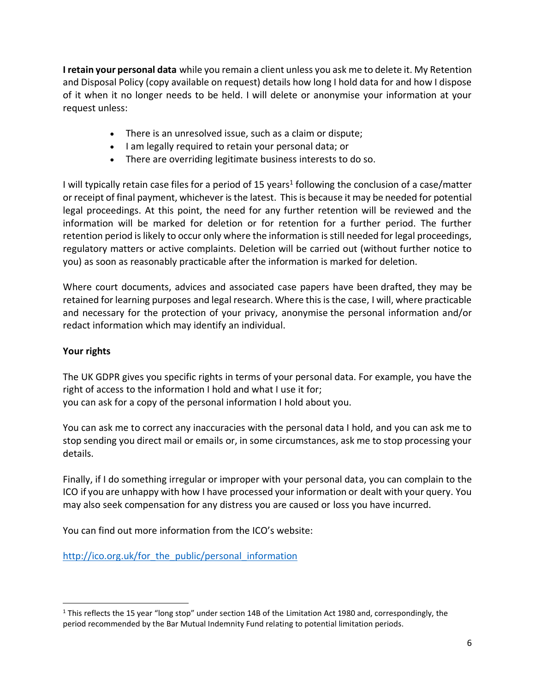**I retain your personal data** while you remain a client unless you ask me to delete it. My Retention and Disposal Policy (copy available on request) details how long I hold data for and how I dispose of it when it no longer needs to be held. I will delete or anonymise your information at your request unless:

- There is an unresolved issue, such as a claim or dispute;
- I am legally required to retain your personal data; or
- There are overriding legitimate business interests to do so.

I will typically retain case files for a period of 15 years<sup>1</sup> following the conclusion of a case/matter or receipt of final payment, whichever is the latest. This is because it may be needed for potential legal proceedings. At this point, the need for any further retention will be reviewed and the information will be marked for deletion or for retention for a further period. The further retention period is likely to occur only where the information is still needed for legal proceedings, regulatory matters or active complaints. Deletion will be carried out (without further notice to you) as soon as reasonably practicable after the information is marked for deletion.

Where court documents, advices and associated case papers have been drafted, they may be retained for learning purposes and legal research. Where this is the case, I will, where practicable and necessary for the protection of your privacy, anonymise the personal information and/or redact information which may identify an individual.

# **Your rights**

The UK GDPR gives you specific rights in terms of your personal data. For example, you have the right of access to the information I hold and what I use it for; you can ask for a copy of the personal information I hold about you.

You can ask me to correct any inaccuracies with the personal data I hold, and you can ask me to stop sending you direct mail or emails or, in some circumstances, ask me to stop processing your details.

Finally, if I do something irregular or improper with your personal data, you can complain to the ICO if you are unhappy with how I have processed your information or dealt with your query. You may also seek compensation for any distress you are caused or loss you have incurred.

You can find out more information from the ICO's website:

http://ico.org.uk/for the public/personal information

<sup>&</sup>lt;sup>1</sup> This reflects the 15 year "long stop" under section 14B of the Limitation Act 1980 and, correspondingly, the period recommended by the Bar Mutual Indemnity Fund relating to potential limitation periods.